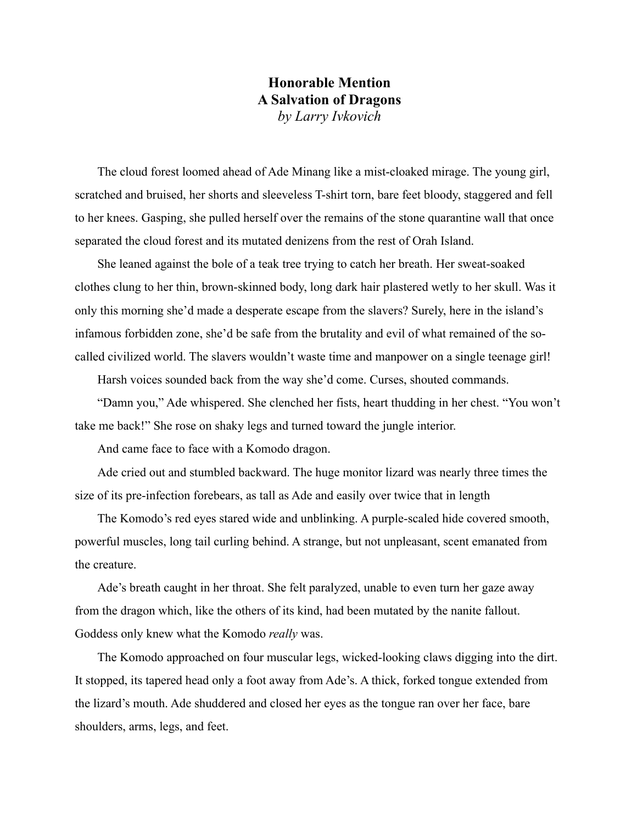## **Honorable Mention A Salvation of Dragons**  *by Larry Ivkovich*

The cloud forest loomed ahead of Ade Minang like a mist-cloaked mirage. The young girl, scratched and bruised, her shorts and sleeveless T-shirt torn, bare feet bloody, staggered and fell to her knees. Gasping, she pulled herself over the remains of the stone quarantine wall that once separated the cloud forest and its mutated denizens from the rest of Orah Island.

She leaned against the bole of a teak tree trying to catch her breath. Her sweat-soaked clothes clung to her thin, brown-skinned body, long dark hair plastered wetly to her skull. Was it only this morning she'd made a desperate escape from the slavers? Surely, here in the island's infamous forbidden zone, she'd be safe from the brutality and evil of what remained of the socalled civilized world. The slavers wouldn't waste time and manpower on a single teenage girl!

Harsh voices sounded back from the way she'd come. Curses, shouted commands.

"Damn you," Ade whispered. She clenched her fists, heart thudding in her chest. "You won't take me back!" She rose on shaky legs and turned toward the jungle interior.

And came face to face with a Komodo dragon.

Ade cried out and stumbled backward. The huge monitor lizard was nearly three times the size of its pre-infection forebears, as tall as Ade and easily over twice that in length

The Komodo's red eyes stared wide and unblinking. A purple-scaled hide covered smooth, powerful muscles, long tail curling behind. A strange, but not unpleasant, scent emanated from the creature.

Ade's breath caught in her throat. She felt paralyzed, unable to even turn her gaze away from the dragon which, like the others of its kind, had been mutated by the nanite fallout. Goddess only knew what the Komodo *really* was.

The Komodo approached on four muscular legs, wicked-looking claws digging into the dirt. It stopped, its tapered head only a foot away from Ade's. A thick, forked tongue extended from the lizard's mouth. Ade shuddered and closed her eyes as the tongue ran over her face, bare shoulders, arms, legs, and feet.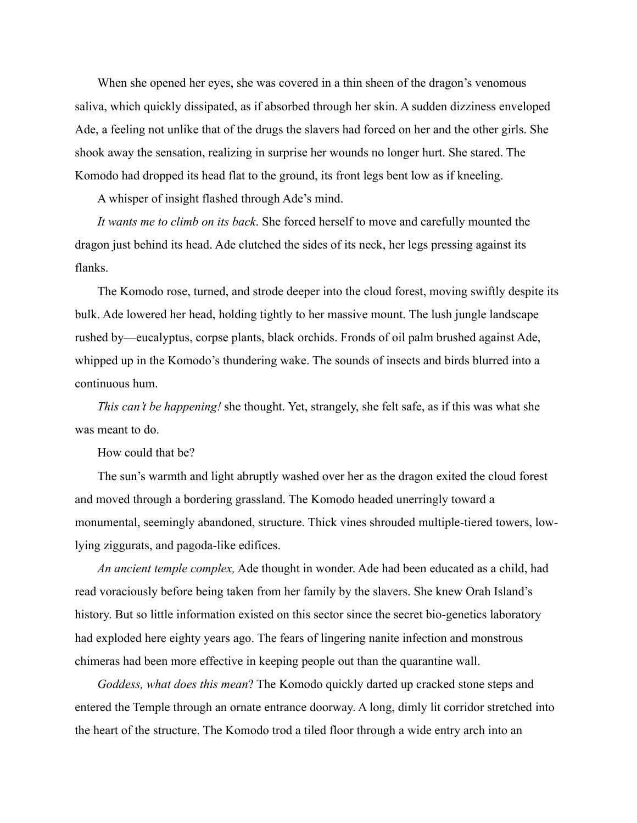When she opened her eyes, she was covered in a thin sheen of the dragon's venomous saliva, which quickly dissipated, as if absorbed through her skin. A sudden dizziness enveloped Ade, a feeling not unlike that of the drugs the slavers had forced on her and the other girls. She shook away the sensation, realizing in surprise her wounds no longer hurt. She stared. The Komodo had dropped its head flat to the ground, its front legs bent low as if kneeling.

A whisper of insight flashed through Ade's mind.

*It wants me to climb on its back*. She forced herself to move and carefully mounted the dragon just behind its head. Ade clutched the sides of its neck, her legs pressing against its flanks.

The Komodo rose, turned, and strode deeper into the cloud forest, moving swiftly despite its bulk. Ade lowered her head, holding tightly to her massive mount. The lush jungle landscape rushed by—eucalyptus, corpse plants, black orchids. Fronds of oil palm brushed against Ade, whipped up in the Komodo's thundering wake. The sounds of insects and birds blurred into a continuous hum.

*This can't be happening!* she thought. Yet, strangely, she felt safe, as if this was what she was meant to do.

How could that be?

The sun's warmth and light abruptly washed over her as the dragon exited the cloud forest and moved through a bordering grassland. The Komodo headed unerringly toward a monumental, seemingly abandoned, structure. Thick vines shrouded multiple-tiered towers, lowlying ziggurats, and pagoda-like edifices.

*An ancient temple complex,* Ade thought in wonder. Ade had been educated as a child, had read voraciously before being taken from her family by the slavers. She knew Orah Island's history. But so little information existed on this sector since the secret bio-genetics laboratory had exploded here eighty years ago. The fears of lingering nanite infection and monstrous chimeras had been more effective in keeping people out than the quarantine wall.

*Goddess, what does this mean*? The Komodo quickly darted up cracked stone steps and entered the Temple through an ornate entrance doorway. A long, dimly lit corridor stretched into the heart of the structure. The Komodo trod a tiled floor through a wide entry arch into an